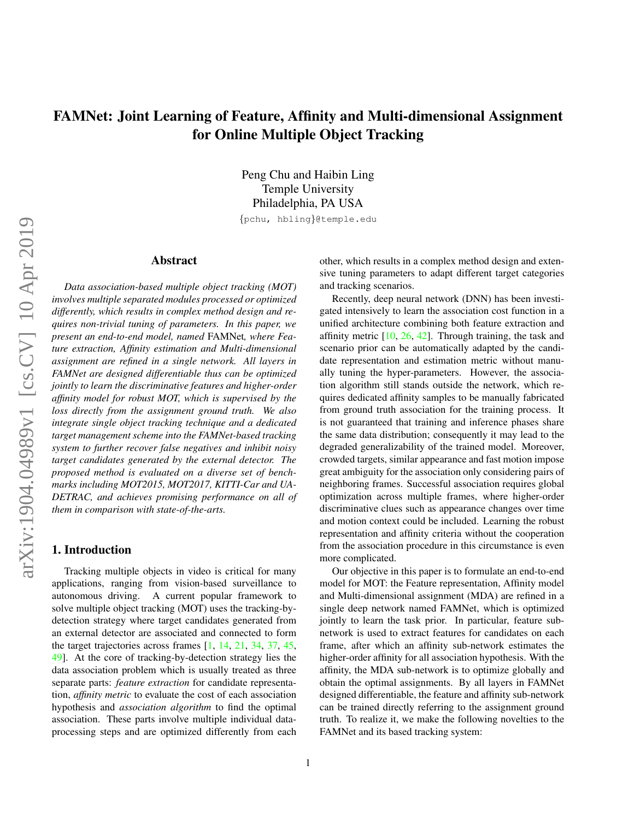# <span id="page-0-0"></span>FAMNet: Joint Learning of Feature, Affinity and Multi-dimensional Assignment for Online Multiple Object Tracking

Peng Chu and Haibin Ling Temple University Philadelphia, PA USA

{pchu, hbling}@temple.edu

## Abstract

*Data association-based multiple object tracking (MOT) involves multiple separated modules processed or optimized differently, which results in complex method design and requires non-trivial tuning of parameters. In this paper, we present an end-to-end model, named* FAMNet*, where Feature extraction, Affinity estimation and Multi-dimensional assignment are refined in a single network. All layers in FAMNet are designed differentiable thus can be optimized jointly to learn the discriminative features and higher-order affinity model for robust MOT, which is supervised by the loss directly from the assignment ground truth. We also integrate single object tracking technique and a dedicated target management scheme into the FAMNet-based tracking system to further recover false negatives and inhibit noisy target candidates generated by the external detector. The proposed method is evaluated on a diverse set of benchmarks including MOT2015, MOT2017, KITTI-Car and UA-DETRAC, and achieves promising performance on all of them in comparison with state-of-the-arts.*

# 1. Introduction

Tracking multiple objects in video is critical for many applications, ranging from vision-based surveillance to autonomous driving. A current popular framework to solve multiple object tracking (MOT) uses the tracking-bydetection strategy where target candidates generated from an external detector are associated and connected to form the target trajectories across frames [\[1,](#page-8-0) [14,](#page-8-1) [21,](#page-8-2) [34,](#page-8-3) [37,](#page-8-4) [45,](#page-9-0) [49\]](#page-9-1). At the core of tracking-by-detection strategy lies the data association problem which is usually treated as three separate parts: *feature extraction* for candidate representation, *affinity metric* to evaluate the cost of each association hypothesis and *association algorithm* to find the optimal association. These parts involve multiple individual dataprocessing steps and are optimized differently from each

other, which results in a complex method design and extensive tuning parameters to adapt different target categories and tracking scenarios.

Recently, deep neural network (DNN) has been investigated intensively to learn the association cost function in a unified architecture combining both feature extraction and affinity metric [\[10,](#page-8-5) [26,](#page-8-6) [42\]](#page-9-2). Through training, the task and scenario prior can be automatically adapted by the candidate representation and estimation metric without manually tuning the hyper-parameters. However, the association algorithm still stands outside the network, which requires dedicated affinity samples to be manually fabricated from ground truth association for the training process. It is not guaranteed that training and inference phases share the same data distribution; consequently it may lead to the degraded generalizability of the trained model. Moreover, crowded targets, similar appearance and fast motion impose great ambiguity for the association only considering pairs of neighboring frames. Successful association requires global optimization across multiple frames, where higher-order discriminative clues such as appearance changes over time and motion context could be included. Learning the robust representation and affinity criteria without the cooperation from the association procedure in this circumstance is even more complicated.

Our objective in this paper is to formulate an end-to-end model for MOT: the Feature representation, Affinity model and Multi-dimensional assignment (MDA) are refined in a single deep network named FAMNet, which is optimized jointly to learn the task prior. In particular, feature subnetwork is used to extract features for candidates on each frame, after which an affinity sub-network estimates the higher-order affinity for all association hypothesis. With the affinity, the MDA sub-network is to optimize globally and obtain the optimal assignments. By all layers in FAMNet designed differentiable, the feature and affinity sub-network can be trained directly referring to the assignment ground truth. To realize it, we make the following novelties to the FAMNet and its based tracking system: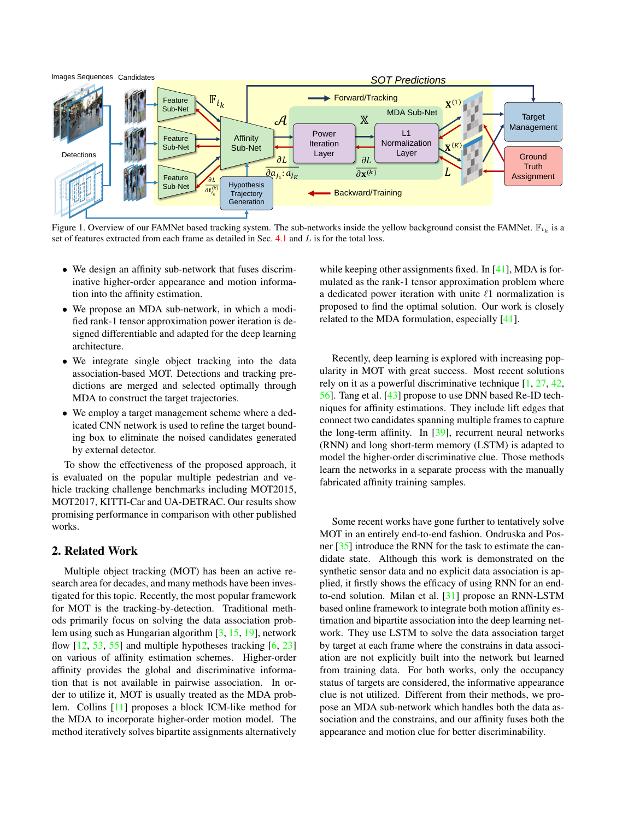<span id="page-1-1"></span>

<span id="page-1-0"></span>Figure 1. Overview of our FAMNet based tracking system. The sub-networks inside the yellow background consist the FAMNet.  $\mathbb{F}_{i_k}$  is a set of features extracted from each frame as detailed in Sec. [4.1](#page-2-0) and  $L$  is for the total loss.

- We design an affinity sub-network that fuses discriminative higher-order appearance and motion information into the affinity estimation.
- We propose an MDA sub-network, in which a modified rank-1 tensor approximation power iteration is designed differentiable and adapted for the deep learning architecture.
- We integrate single object tracking into the data association-based MOT. Detections and tracking predictions are merged and selected optimally through MDA to construct the target trajectories.
- We employ a target management scheme where a dedicated CNN network is used to refine the target bounding box to eliminate the noised candidates generated by external detector.

To show the effectiveness of the proposed approach, it is evaluated on the popular multiple pedestrian and vehicle tracking challenge benchmarks including MOT2015, MOT2017, KITTI-Car and UA-DETRAC. Our results show promising performance in comparison with other published works.

# 2. Related Work

Multiple object tracking (MOT) has been an active research area for decades, and many methods have been investigated for this topic. Recently, the most popular framework for MOT is the tracking-by-detection. Traditional methods primarily focus on solving the data association problem using such as Hungarian algorithm [\[3,](#page-8-7) [15,](#page-8-8) [19\]](#page-8-9), network flow  $[12, 53, 55]$  $[12, 53, 55]$  $[12, 53, 55]$  $[12, 53, 55]$  $[12, 53, 55]$  and multiple hypotheses tracking  $[6, 23]$  $[6, 23]$  $[6, 23]$ on various of affinity estimation schemes. Higher-order affinity provides the global and discriminative information that is not available in pairwise association. In order to utilize it, MOT is usually treated as the MDA problem. Collins [\[11\]](#page-8-13) proposes a block ICM-like method for the MDA to incorporate higher-order motion model. The method iteratively solves bipartite assignments alternatively

while keeping other assignments fixed. In [\[41\]](#page-9-5), MDA is formulated as the rank-1 tensor approximation problem where a dedicated power iteration with unite  $\ell_1$  normalization is proposed to find the optimal solution. Our work is closely related to the MDA formulation, especially [\[41\]](#page-9-5).

Recently, deep learning is explored with increasing popularity in MOT with great success. Most recent solutions rely on it as a powerful discriminative technique [\[1,](#page-8-0) [27,](#page-8-14) [42,](#page-9-2) [56\]](#page-9-6). Tang et al. [\[43\]](#page-9-7) propose to use DNN based Re-ID techniques for affinity estimations. They include lift edges that connect two candidates spanning multiple frames to capture the long-term affinity. In [\[39\]](#page-8-15), recurrent neural networks (RNN) and long short-term memory (LSTM) is adapted to model the higher-order discriminative clue. Those methods learn the networks in a separate process with the manually fabricated affinity training samples.

Some recent works have gone further to tentatively solve MOT in an entirely end-to-end fashion. Ondruska and Posner [\[35\]](#page-8-16) introduce the RNN for the task to estimate the candidate state. Although this work is demonstrated on the synthetic sensor data and no explicit data association is applied, it firstly shows the efficacy of using RNN for an endto-end solution. Milan et al. [\[31\]](#page-8-17) propose an RNN-LSTM based online framework to integrate both motion affinity estimation and bipartite association into the deep learning network. They use LSTM to solve the data association target by target at each frame where the constrains in data association are not explicitly built into the network but learned from training data. For both works, only the occupancy status of targets are considered, the informative appearance clue is not utilized. Different from their methods, we propose an MDA sub-network which handles both the data association and the constrains, and our affinity fuses both the appearance and motion clue for better discriminability.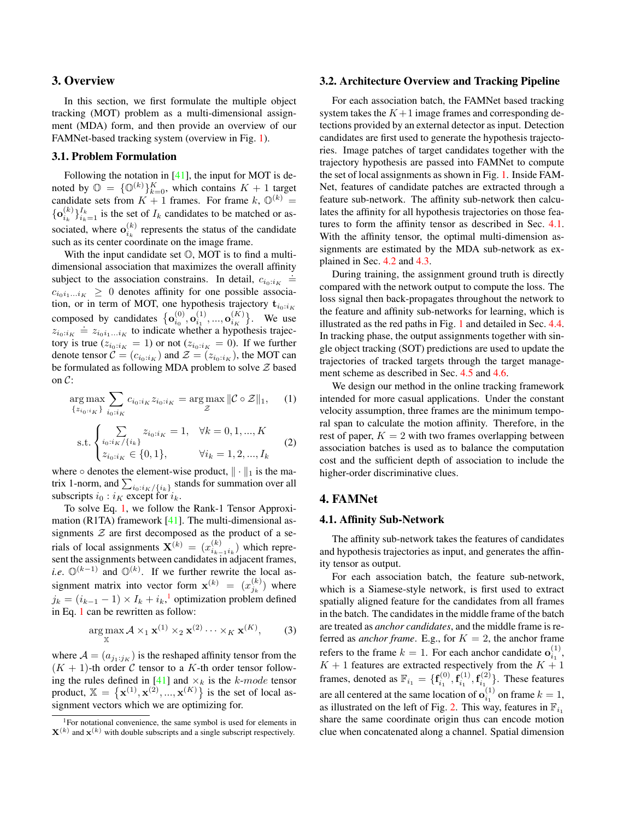# <span id="page-2-5"></span>3. Overview

In this section, we first formulate the multiple object tracking (MOT) problem as a multi-dimensional assignment (MDA) form, and then provide an overview of our FAMNet-based tracking system (overview in Fig. [1\)](#page-1-0).

## 3.1. Problem Formulation

Following the notation in  $[41]$ , the input for MOT is denoted by  $\mathbb{O} = \{ \mathbb{O}^{(k)} \}_{k=0}^K$ , which contains  $K + 1$  target candidate sets from  $K + 1$  frames. For frame  $k, \mathbb{O}^{(k)} =$  $\{o_{i_k}^{(k)}\}_{i_k=1}^{I_k}$  is the set of  $I_k$  candidates to be matched or associated, where  $o_{i_k}^{(k)}$  represents the status of the candidate such as its center coordinate on the image frame.

With the input candidate set  $\mathbb{O}$ , MOT is to find a multidimensional association that maximizes the overall affinity subject to the association constrains. In detail,  $c_{i_0:i_K}$   $\doteq$  $c_{i_0i_1...i_K} \geq 0$  denotes affinity for one possible association, or in term of MOT, one hypothesis trajectory  $t_{i_0:i_K}$ composed by candidates  $\left\{ \mathbf{o}_{i_0}^{(0)}, \mathbf{o}_{i_1}^{(1)}, ..., \mathbf{o}_{i_K}^{(K)} \right\}$ . We use  $z_{i_0:i_K} = z_{i_0i_1...i_K}$  to indicate whether a hypothesis trajectory is true  $(z_{i_0:i_K} = 1)$  or not  $(z_{i_0:i_K} = 0)$ . If we further denote tensor  $C = (c_{i_0:i_K})$  and  $\mathcal{Z} = (z_{i_0:i_K})$ , the MOT can be formulated as following MDA problem to solve  $\mathcal Z$  based on C:

<span id="page-2-1"></span>
$$
\underset{\{z_{i_0:i_K}\}}{\arg\max} \sum_{i_0:i_K} c_{i_0:i_K} z_{i_0:i_K} = \underset{\mathcal{Z}}{\arg\max} \|\mathcal{C} \circ \mathcal{Z}\|_1, \quad (1)
$$

<span id="page-2-4"></span>s.t. 
$$
\begin{cases} \sum_{i_0: i_K/\{i_k\}} z_{i_0: i_K} = 1, & \forall k = 0, 1, ..., K \\ z_{i_0: i_K} \in \{0, 1\}, & \forall i_k = 1, 2, ..., I_k \end{cases}
$$
 (2)

where  $\circ$  denotes the element-wise product,  $\|\cdot\|_1$  is the matrix 1-norm, and  $\sum_{i_0: i_K / \{i_k\}}$  stands for summation over all subscripts  $i_0$ :  $i_K$  except for  $i_k$ .

To solve Eq. [1,](#page-2-1) we follow the Rank-1 Tensor Approximation (R1TA) framework  $[41]$ . The multi-dimensional assignments  $Z$  are first decomposed as the product of a serials of local assignments  $\mathbf{X}^{(k)} = (x_{i_{k-1}i_k}^{(k)})$  which represent the assignments between candidates in adjacent frames, *i.e.*  $\mathbb{O}^{(k-1)}$  and  $\mathbb{O}^{(k)}$ . If we further rewrite the local assignment matrix into vector form  $\mathbf{x}^{(k)} = (x_{j_k}^{(k)})$  where  $j_k = (i_{k-1} - 1) \times I_k + i_k$  $j_k = (i_{k-1} - 1) \times I_k + i_k$  $j_k = (i_{k-1} - 1) \times I_k + i_k$ ,<sup>1</sup> optimization problem defined in Eq. [1](#page-2-1) can be rewritten as follow:

<span id="page-2-3"></span>
$$
\arg\max_{\mathbb{X}} \mathcal{A} \times_1 \mathbf{x}^{(1)} \times_2 \mathbf{x}^{(2)} \cdots \times_K \mathbf{x}^{(K)},
$$
 (3)

where  $A = (a_{j_1:j_K})$  is the reshaped affinity tensor from the  $(K + 1)$ -th order C tensor to a K-th order tensor follow-ing the rules defined in [\[41\]](#page-9-5) and  $\times_k$  is the k-mode tensor product,  $X = {\mathbf{x}^{(1)}, \mathbf{x}^{(2)}, ..., \mathbf{x}^{(K)}}$  is the set of local assignment vectors which we are optimizing for.

#### 3.2. Architecture Overview and Tracking Pipeline

For each association batch, the FAMNet based tracking system takes the  $K+1$  image frames and corresponding detections provided by an external detector as input. Detection candidates are first used to generate the hypothesis trajectories. Image patches of target candidates together with the trajectory hypothesis are passed into FAMNet to compute the set of local assignments as shown in Fig. [1.](#page-1-0) Inside FAM-Net, features of candidate patches are extracted through a feature sub-network. The affinity sub-network then calculates the affinity for all hypothesis trajectories on those features to form the affinity tensor as described in Sec. [4.1.](#page-2-0) With the affinity tensor, the optimal multi-dimension assignments are estimated by the MDA sub-network as explained in Sec. [4.2](#page-3-0) and [4.3.](#page-4-0)

During training, the assignment ground truth is directly compared with the network output to compute the loss. The loss signal then back-propagates throughout the network to the feature and affinity sub-networks for learning, which is illustrated as the red paths in Fig. [1](#page-1-0) and detailed in Sec. [4.4.](#page-4-1) In tracking phase, the output assignments together with single object tracking (SOT) predictions are used to update the trajectories of tracked targets through the target management scheme as described in Sec. [4.5](#page-5-0) and [4.6.](#page-5-1)

We design our method in the online tracking framework intended for more casual applications. Under the constant velocity assumption, three frames are the minimum temporal span to calculate the motion affinity. Therefore, in the rest of paper,  $K = 2$  with two frames overlapping between association batches is used as to balance the computation cost and the sufficient depth of association to include the higher-order discriminative clues.

## 4. FAMNet

## <span id="page-2-0"></span>4.1. Affinity Sub-Network

The affinity sub-network takes the features of candidates and hypothesis trajectories as input, and generates the affinity tensor as output.

For each association batch, the feature sub-network, which is a Siamese-style network, is first used to extract spatially aligned feature for the candidates from all frames in the batch. The candidates in the middle frame of the batch are treated as *anchor candidates*, and the middle frame is referred as *anchor frame*. E.g., for  $K = 2$ , the anchor frame refers to the frame  $k = 1$ . For each anchor candidate  $o_{i_1}^{(1)}$ ,  $K + 1$  features are extracted respectively from the  $K + 1$ frames, denoted as  $\mathbb{F}_{i_1} = \{ \mathbf{f}_{i_1}^{(0)}, \mathbf{f}_{i_1}^{(1)}, \mathbf{f}_{i_1}^{(2)} \}$ . These features are all centered at the same location of  $o_{i_1}^{(1)}$  on frame  $k = 1$ , as illustrated on the left of Fig. [2.](#page-3-1) This way, features in  $\mathbb{F}_{i_1}$ share the same coordinate origin thus can encode motion clue when concatenated along a channel. Spatial dimension

<span id="page-2-2"></span> $1$ For notational convenience, the same symbol is used for elements in  $\mathbf{X}^{(k)}$  and  $\mathbf{x}^{(k)}$  with double subscripts and a single subscript respectively.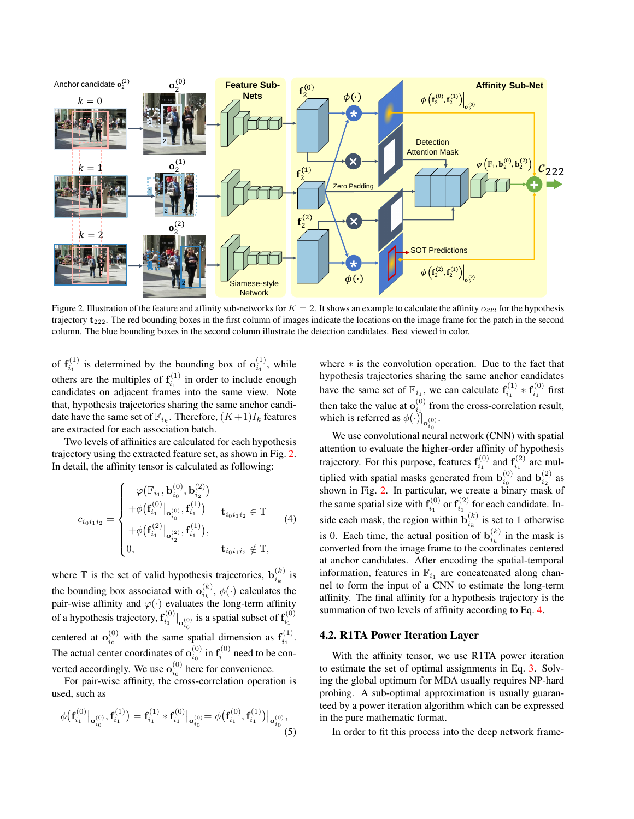

<span id="page-3-1"></span>Figure 2. Illustration of the feature and affinity sub-networks for  $K = 2$ . It shows an example to calculate the affinity  $c_{222}$  for the hypothesis trajectory  $t_{222}$ . The red bounding boxes in the first column of images indicate the locations on the image frame for the patch in the second column. The blue bounding boxes in the second column illustrate the detection candidates. Best viewed in color.

of  $f_{i_1}^{(1)}$  is determined by the bounding box of  $o_{i_1}^{(1)}$ , while others are the multiples of  $f_{i_1}^{(1)}$  in order to include enough candidates on adjacent frames into the same view. Note that, hypothesis trajectories sharing the same anchor candidate have the same set of  $\mathbb{F}_{i_k}$ . Therefore,  $(K+1)I_k$  features are extracted for each association batch.

Two levels of affinities are calculated for each hypothesis trajectory using the extracted feature set, as shown in Fig. [2.](#page-3-1) In detail, the affinity tensor is calculated as following:

<span id="page-3-2"></span>
$$
c_{i_0i_1i_2} = \begin{cases} \varphi(\mathbb{F}_{i_1}, \mathbf{b}_{i_0}^{(0)}, \mathbf{b}_{i_2}^{(2)}) \\ + \phi(\mathbf{f}_{i_1}^{(0)}|_{\mathbf{o}_{i_0}^{(0)}}, \mathbf{f}_{i_1}^{(1)}) & \mathbf{t}_{i_0i_1i_2} \in \mathbb{T} \\ + \phi(\mathbf{f}_{i_1}^{(2)}|_{\mathbf{o}_{i_2}^{(2)}}, \mathbf{f}_{i_1}^{(1)}), \\ 0, & \mathbf{t}_{i_0i_1i_2} \notin \mathbb{T}, \end{cases}
$$
(4)

where  $\mathbb T$  is the set of valid hypothesis trajectories,  $\mathbf{b}_{i_k}^{(k)}$  is the bounding box associated with  $o_{i_k}^{(k)}$ ,  $\phi(\cdot)$  calculates the pair-wise affinity and  $\varphi(\cdot)$  evaluates the long-term affinity of a hypothesis trajectory,  $\mathbf{f}_{i_1}^{(0)}\big|_{\mathbf{o}_{i_0}^{(0)}}$  is a spatial subset of  $\mathbf{f}_{i_1}^{(0)}$ centered at  $o_{i_0}^{(0)}$  with the same spatial dimension as  $f_{i_1}^{(1)}$ . The actual center coordinates of  $\mathbf{o}_{i_0}^{(0)}$  in  $\mathbf{f}_{i_1}^{(0)}$  need to be converted accordingly. We use  $o_{i_0}^{(0)}$  here for convenience.

For pair-wise affinity, the cross-correlation operation is used, such as

<span id="page-3-3"></span>
$$
\phi\big(\mathbf{f}_{i_1}^{(0)}\big|_{\mathbf{o}_{i_0}^{(0)}},\mathbf{f}_{i_1}^{(1)}\big) = \mathbf{f}_{i_1}^{(1)} * \mathbf{f}_{i_1}^{(0)}\big|_{\mathbf{o}_{i_0}^{(0)}} = \phi\big(\mathbf{f}_{i_1}^{(0)},\mathbf{f}_{i_1}^{(1)}\big)\big|_{\mathbf{o}_{i_0}^{(0)}},\tag{5}
$$

where ∗ is the convolution operation. Due to the fact that hypothesis trajectories sharing the same anchor candidates have the same set of  $\mathbb{F}_{i_1}$ , we can calculate  $f_{i_1}^{(1)} * f_{i_1}^{(0)}$  first then take the value at  $o_{i_0}^{(0)}$  from the cross-correlation result, which is referred as  $\phi(\cdot)|_{\mathbf{o}_{i_0}^{(0)}}$ .

We use convolutional neural network (CNN) with spatial attention to evaluate the higher-order affinity of hypothesis trajectory. For this purpose, features  $f_{i_1}^{(0)}$  and  $f_{i_1}^{(2)}$  are multiplied with spatial masks generated from  $\mathbf{b}_{i_0}^{(0)}$  and  $\mathbf{b}_{i_2}^{(2)}$  as shown in Fig. [2.](#page-3-1) In particular, we create a binary mask of the same spatial size with  $\mathbf{f}_{i_1}^{(0)}$  or  $\mathbf{f}_{i_1}^{(2)}$  for each candidate. Inside each mask, the region within  $\mathbf{b}_{i_k}^{(k)}$  is set to 1 otherwise is 0. Each time, the actual position of  $\mathbf{b}_{i_k}^{(k)}$  in the mask is converted from the image frame to the coordinates centered at anchor candidates. After encoding the spatial-temporal information, features in  $\mathbb{F}_{i_1}$  are concatenated along channel to form the input of a CNN to estimate the long-term affinity. The final affinity for a hypothesis trajectory is the summation of two levels of affinity according to Eq. [4.](#page-3-2)

#### <span id="page-3-0"></span>4.2. R1TA Power Iteration Layer

With the affinity tensor, we use R1TA power iteration to estimate the set of optimal assignments in Eq. [3.](#page-2-3) Solving the global optimum for MDA usually requires NP-hard probing. A sub-optimal approximation is usually guaranteed by a power iteration algorithm which can be expressed in the pure mathematic format.

In order to fit this process into the deep network frame-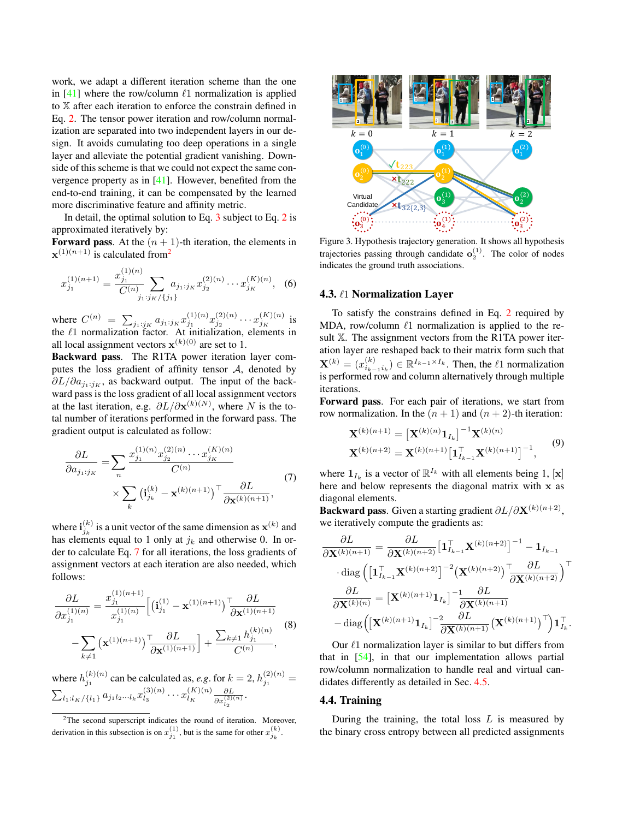<span id="page-4-6"></span>work, we adapt a different iteration scheme than the one in  $[41]$  where the row/column  $\ell$ 1 normalization is applied to X after each iteration to enforce the constrain defined in Eq. [2.](#page-2-4) The tensor power iteration and row/column normalization are separated into two independent layers in our design. It avoids cumulating too deep operations in a single layer and alleviate the potential gradient vanishing. Downside of this scheme is that we could not expect the same convergence property as in [\[41\]](#page-9-5). However, benefited from the end-to-end training, it can be compensated by the learned more discriminative feature and affinity metric.

In detail, the optimal solution to Eq. [3](#page-2-3) subject to Eq. [2](#page-2-4) is approximated iteratively by:

**Forward pass.** At the  $(n + 1)$ -th iteration, the elements in  $\mathbf{x}^{(1)(n+1)}$  is calculated from<sup>[2](#page-4-2)</sup>

 $(1)$ (n)

$$
x_{j_1}^{(1)(n+1)} = \frac{x_{j_1}^{(1)(n)}}{C^{(n)}} \sum_{j_1: j_K \neq \{j_1\}} a_{j_1: j_K} x_{j_2}^{(2)(n)} \cdots x_{j_K}^{(K)(n)}, \tag{6}
$$

where  $C^{(n)} = \sum_{j_1: j_K} a_{j_1: j_K} x_{j_1}^{(1)(n)} x_{j_2}^{(2)(n)} \cdots x_{j_K}^{(K)(n)}$  is the  $\ell$ 1 normalization factor. At initialization, elements in all local assignment vectors  $\mathbf{x}^{(k)(0)}$  are set to 1.

Backward pass. The R1TA power iteration layer computes the loss gradient of affinity tensor  $A$ , denoted by  $\partial L/\partial a_{j_1:j_K}$ , as backward output. The input of the backward pass is the loss gradient of all local assignment vectors at the last iteration, e.g.  $\partial L/\partial \mathbf{x}^{(k)(N)}$ , where N is the total number of iterations performed in the forward pass. The gradient output is calculated as follow:

<span id="page-4-3"></span>
$$
\frac{\partial L}{\partial a_{j_1:j_K}} = \sum_n \frac{x_{j_1}^{(1)(n)} x_{j_2}^{(2)(n)} \cdots x_{j_K}^{(K)(n)}}{C^{(n)}} \times \sum_k \left( \mathbf{i}_{j_k}^{(k)} - \mathbf{x}^{(k)(n+1)} \right)^\top \frac{\partial L}{\partial \mathbf{x}^{(k)(n+1)}},\tag{7}
$$

where  $\mathbf{i}_{j_k}^{(k)}$  is a unit vector of the same dimension as  $\mathbf{x}^{(k)}$  and has elements equal to 1 only at  $j_k$  and otherwise 0. In order to calculate Eq. [7](#page-4-3) for all iterations, the loss gradients of assignment vectors at each iteration are also needed, which follows:

$$
\frac{\partial L}{\partial x_{j_1}^{(1)(n)}} = \frac{x_{j_1}^{(1)(n+1)}}{x_{j_1}^{(1)(n)}} \Big[ \left( \mathbf{i}_{j_1}^{(1)} - \mathbf{x}^{(1)(n+1)} \right) \frac{\partial L}{\partial \mathbf{x}^{(1)(n+1)}} - \sum_{k \neq 1} \left( \mathbf{x}^{(1)(n+1)} \right) \frac{\partial L}{\partial \mathbf{x}^{(1)(n+1)}} \Big] + \frac{\sum_{k \neq 1} h_{j_1}^{(k)(n)}}{C^{(n)}}, \tag{8}
$$

where  $h_{j_1}^{(k)(n)}$  can be calculated as, *e.g.* for  $k = 2$ ,  $h_{j_1}^{(2)(n)} =$  $\sum_{l_1: l_K/\{l_1\}} a_{j_1 l_2 \cdots l_k} x_{l_3}^{(3)(n)}$  $\frac{(3)(n)}{l_3} \cdots x_{l_K}^{(K)(n)}$  $\frac{1}{l_K}$  $\frac{\partial L}{\partial x_{l_2}^{(2)(n)}}$ .

<span id="page-4-2"></span>



<span id="page-4-4"></span>Figure 3. Hypothesis trajectory generation. It shows all hypothesis trajectories passing through candidate  $o_2^{(1)}$ . The color of nodes indicates the ground truth associations.

#### <span id="page-4-0"></span>4.3.  $\ell$ 1 Normalization Layer

To satisfy the constrains defined in Eq. [2](#page-2-4) required by MDA, row/column  $\ell$ 1 normalization is applied to the result X. The assignment vectors from the R1TA power iteration layer are reshaped back to their matrix form such that  $\mathbf{X}^{(k)} = (x_{i_{k-1}i_k}^{(k)}) \in \mathbb{R}^{I_{k-1} \times I_k}$ . Then, the  $\ell$ 1 normalization is performed row and column alternatively through multiple iterations.

Forward pass. For each pair of iterations, we start from row normalization. In the  $(n + 1)$  and  $(n + 2)$ -th iteration:

$$
\mathbf{X}^{(k)(n+1)} = \left[\mathbf{X}^{(k)(n)}\mathbf{1}_{I_k}\right]^{-1} \mathbf{X}^{(k)(n)}
$$

$$
\mathbf{X}^{(k)(n+2)} = \mathbf{X}^{(k)(n+1)} \left[\mathbf{1}_{I_{k-1}}^{\top} \mathbf{X}^{(k)(n+1)}\right]^{-1}, \tag{9}
$$

where  $\mathbf{1}_{I_k}$  is a vector of  $\mathbb{R}^{I_k}$  with all elements being 1, [x] here and below represents the diagonal matrix with x as diagonal elements.

Backward pass. Given a starting gradient  $\partial L / \partial \mathbf{X}^{(k)(n+2)}$ , we iteratively compute the gradients as:

<span id="page-4-5"></span>
$$
\frac{\partial L}{\partial \mathbf{X}^{(k)(n+1)}} = \frac{\partial L}{\partial \mathbf{X}^{(k)(n+2)}} \left[ \mathbf{1}_{I_{k-1}}^{\top} \mathbf{X}^{(k)(n+2)} \right]^{-1} - \mathbf{1}_{I_{k-1}} \n\cdot \text{diag}\left( \left[ \mathbf{1}_{I_{k-1}}^{\top} \mathbf{X}^{(k)(n+2)} \right]^{-2} \left( \mathbf{X}^{(k)(n+2)} \right) \frac{\partial L}{\partial \mathbf{X}^{(k)(n+2)}} \right)^{\top} \n\frac{\partial L}{\partial \mathbf{X}^{(k)(n)}} = \left[ \mathbf{X}^{(k)(n+1)} \mathbf{1}_{I_k} \right]^{-1} \frac{\partial L}{\partial \mathbf{X}^{(k)(n+1)}} \n-\text{diag}\left( \left[ \mathbf{X}^{(k)(n+1)} \mathbf{1}_{I_k} \right]^{-2} \frac{\partial L}{\partial \mathbf{X}^{(k)(n+1)}} \left( \mathbf{X}^{(k)(n+1)} \right)^{\top} \right) \mathbf{1}_{I_k}^{\top}.
$$

Our  $\ell$ 1 normalization layer is similar to but differs from that in [\[54\]](#page-9-8), in that our implementation allows partial row/column normalization to handle real and virtual candidates differently as detailed in Sec. [4.5.](#page-5-0)

#### <span id="page-4-1"></span>4.4. Training

During the training, the total loss  $L$  is measured by the binary cross entropy between all predicted assignments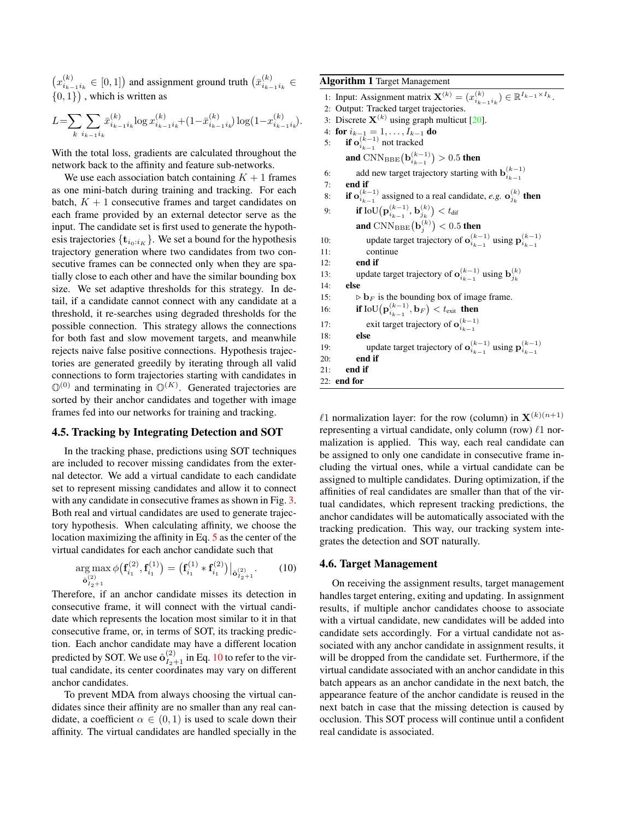<span id="page-5-3"></span> $(x_{i_{k-1}i_k}^{(k)} \in [0,1])$  and assignment ground truth  $(\bar{x}_{i_{k-1}i_k}^{(k)} \in$  $\{0, 1\}$ , which is written as

$$
L = \sum_{k} \sum_{i_k - 1} \bar{x}_{i_{k-1} i_k}^{(k)} \log x_{i_{k-1} i_k}^{(k)} + (1 - \bar{x}_{i_{k-1} i_k}^{(k)}) \log(1 - x_{i_{k-1} i_k}^{(k)}).
$$

With the total loss, gradients are calculated throughout the network back to the affinity and feature sub-networks.

We use each association batch containing  $K + 1$  frames as one mini-batch during training and tracking. For each batch,  $K + 1$  consecutive frames and target candidates on each frame provided by an external detector serve as the input. The candidate set is first used to generate the hypothesis trajectories  $\{t_{i_0:i_K}\}.$  We set a bound for the hypothesis trajectory generation where two candidates from two consecutive frames can be connected only when they are spatially close to each other and have the similar bounding box size. We set adaptive thresholds for this strategy. In detail, if a candidate cannot connect with any candidate at a threshold, it re-searches using degraded thresholds for the possible connection. This strategy allows the connections for both fast and slow movement targets, and meanwhile rejects naive false positive connections. Hypothesis trajectories are generated greedily by iterating through all valid connections to form trajectories starting with candidates in  $\mathbb{O}^{(0)}$  and terminating in  $\mathbb{O}^{(K)}$ . Generated trajectories are sorted by their anchor candidates and together with image frames fed into our networks for training and tracking.

## <span id="page-5-0"></span>4.5. Tracking by Integrating Detection and SOT

In the tracking phase, predictions using SOT techniques are included to recover missing candidates from the external detector. We add a virtual candidate to each candidate set to represent missing candidates and allow it to connect with any candidate in consecutive frames as shown in Fig. [3.](#page-4-4) Both real and virtual candidates are used to generate trajectory hypothesis. When calculating affinity, we choose the location maximizing the affinity in Eq. [5](#page-3-3) as the center of the virtual candidates for each anchor candidate such that

$$
\underset{\hat{\mathbf{o}}_{I_2+1}^{(2)}}{\arg \max} \phi \big(\mathbf{f}_{i_1}^{(2)}, \mathbf{f}_{i_1}^{(1)}\big) = \big(\mathbf{f}_{i_1}^{(1)} * \mathbf{f}_{i_1}^{(2)}\big)\big|_{\hat{\mathbf{o}}_{I_2+1}^{(2)}}.
$$
 (10)

Therefore, if an anchor candidate misses its detection in consecutive frame, it will connect with the virtual candidate which represents the location most similar to it in that consecutive frame, or, in terms of SOT, its tracking prediction. Each anchor candidate may have a different location predicted by SOT. We use  $\hat{\mathbf{o}}_{I_2+1}^{(2)}$  in Eq. [10](#page-4-5) to refer to the virtual candidate, its center coordinates may vary on different anchor candidates.

To prevent MDA from always choosing the virtual candidates since their affinity are no smaller than any real candidate, a coefficient  $\alpha \in (0,1)$  is used to scale down their affinity. The virtual candidates are handled specially in the

| <b>Algorithm 1</b> Target Management                                                                                     |
|--------------------------------------------------------------------------------------------------------------------------|
| 1: Input: Assignment matrix $\mathbf{X}^{(k)} = (x_{i_{k-1}i_k}^{(k)}) \in \mathbb{R}^{I_{k-1} \times \overline{I_k}}$ . |
| 2: Output: Tracked target trajectories.                                                                                  |
| 3: Discrete $X^{(k)}$ using graph multicut [20].                                                                         |
| 4: for $i_{k-1} = 1, \ldots, I_{k-1}$ do                                                                                 |
| <b>if</b> $o_{i_k-1}^{(k-1)}$ not tracked<br>5:                                                                          |
| <b>and</b> CNN <sub>BBE</sub> $(b_{i_{k-1}}^{(k-1)}) > 0.5$ then                                                         |
| add new target trajectory starting with $\mathbf{b}_{i}^{(k-1)}$<br>6:                                                   |
| end if<br>7:                                                                                                             |
| if $o_{i_{k-1}}^{(k-1)}$ assigned to a real candidate, e.g. $o_{j_k}^{(k)}$ then<br>8:                                   |
| <b>if</b> $IoU(p_{i_{k-1}}^{(k-1)}, b_{j_{k}}^{(k)}) < t_{diff}$<br>9:                                                   |
| and $\text{CNN}_{\text{BBE}}(\mathbf{b}_i^{(k)}) < 0.5$ then                                                             |
| update target trajectory of $o_{i_{k-1}}^{(k-1)}$ using $p_{i_{k-1}}^{(k-1)}$<br>10:                                     |
| continue<br>11:                                                                                                          |
| end if<br>12:                                                                                                            |
| update target trajectory of $o_{i_{k-1}}^{(k-1)}$ using $b_{i_k}^{(k)}$<br>13:                                           |
| else<br>14:                                                                                                              |
| $\triangleright$ <b>b</b> <sub>F</sub> is the bounding box of image frame.<br>15:                                        |
| if $\text{IoU}\big(\mathbf{p}_{i_{k-1}}^{(k-1)}, \mathbf{b}_{F}\big) < t_{\text{exit}}$ then<br>16:                      |
| exit target trajectory of $\mathbf{o}_{i_{k-1}}^{(k-1)}$<br>17:                                                          |
| else<br>18:                                                                                                              |
| update target trajectory of $o_{i_{k-1}}^{(k-1)}$ using $p_{i_{k-1}}^{(k-1)}$<br>19:                                     |
| end if<br>20:                                                                                                            |
| end if<br>21:                                                                                                            |
| $22:$ end for                                                                                                            |

<span id="page-5-2"></span> $\ell$ 1 normalization layer: for the row (column) in  $\mathbf{X}^{(k)(n+1)}$ representing a virtual candidate, only column (row)  $\ell$ 1 normalization is applied. This way, each real candidate can be assigned to only one candidate in consecutive frame including the virtual ones, while a virtual candidate can be assigned to multiple candidates. During optimization, if the affinities of real candidates are smaller than that of the virtual candidates, which represent tracking predictions, the anchor candidates will be automatically associated with the tracking predication. This way, our tracking system integrates the detection and SOT naturally.

#### <span id="page-5-1"></span>4.6. Target Management

On receiving the assignment results, target management handles target entering, exiting and updating. In assignment results, if multiple anchor candidates choose to associate with a virtual candidate, new candidates will be added into candidate sets accordingly. For a virtual candidate not associated with any anchor candidate in assignment results, it will be dropped from the candidate set. Furthermore, if the virtual candidate associated with an anchor candidate in this batch appears as an anchor candidate in the next batch, the appearance feature of the anchor candidate is reused in the next batch in case that the missing detection is caused by occlusion. This SOT process will continue until a confident real candidate is associated.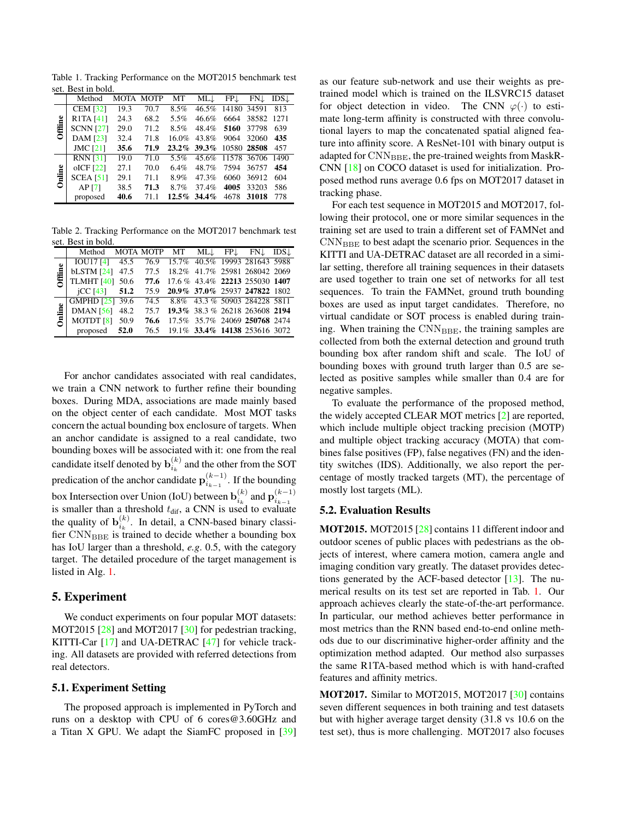<span id="page-6-2"></span><span id="page-6-0"></span>Table 1. Tracking Performance on the MOT2015 benchmark test set. Best in bold.

|                | Method                             | <b>MOTA</b> | <b>MOTP</b> | MT    | $ML\downarrow$ | FP!         | FNJ              | <b>IDS.L</b> |
|----------------|------------------------------------|-------------|-------------|-------|----------------|-------------|------------------|--------------|
|                | <b>CEM [32]</b>                    | 19.3        | 70.7        | 8.5%  | 46.5%          | 14180 34591 |                  | 813          |
|                | R <sub>1</sub> TA [4 <sub>1]</sub> | 24.3        | 68.2        | 5.5%  | $46.6\%$       | 6664        | 38582            | 12.71        |
| <b>Offline</b> | <b>SCNN [27]</b>                   | 29.0        | 71.2        | 8.5%  | 48.4%          | 5160        | 37798            | 639          |
|                | DAM [23]                           | 32.4        | 71.8        | 16.0% | 43.8%          | 9064        | 32060            | 435          |
|                | <b>JMC</b> [21]                    | 35.6        | 71.9        |       | $23.2\%$ 39.3% |             | 10580 28508      | 457          |
|                | <b>RNN</b> [31]                    | 19.0        | 71.0        | 5.5%  | 45.6%          |             | 11578 36706 1490 |              |
|                | oICF[22]                           | 27.1        | 70.0        | 6.4%  | 48.7%          | 7594        | 36757            | 454          |
| Online         | $SCEA$ [51]                        | 29.1        | 71.1        | 8.9%  | 47.3%          | 6060        | 36912            | 604          |
|                | AP <sub>[7]</sub>                  | 38.5        | 71.3        | 8.7%  | 37.4%          | 4005        | 33203            | 586          |
|                | proposed                           | 40.6        | 71.1        |       | $12.5\%$ 34.4% | 4678        | 31018            | 778          |
|                |                                    |             |             |       |                |             |                  |              |

<span id="page-6-1"></span>Table 2. Tracking Performance on the MOT2017 benchmark test set. Best in bold.

|         | Method MOTA MOTP MT ML FP FN FN IDS |      |      |  |                                     |  |
|---------|-------------------------------------|------|------|--|-------------------------------------|--|
|         | IOUI7 [4] 45.5                      |      |      |  | 76.9 15.7% 40.5% 19993 281643 5988  |  |
| Offline | bLSTM [24]                          | 47.5 |      |  | 77.5 18.2% 41.7% 25981 268042 2069  |  |
|         | TLMHT [40] 50.6                     |      |      |  | 77.6 17.6 % 43.4% 22213 255030 1407 |  |
|         | $ CC [43]$ 51.2                     |      | 75.9 |  | 20.9% 37.0% 25937 247822 1802       |  |
|         | GMPHD [25] 39.6                     |      |      |  | 74.5 8.8% 43.3 % 50903 284228 5811  |  |
| Online  | DMAN [56] 48.2                      |      |      |  | 75.7 19.3% 38.3% 26218 263608 2194  |  |
|         | MOTDT $[8]$                         | 50.9 |      |  | 76.6 17.5% 35.7% 24069 250768 2474  |  |
|         | proposed $52.0$                     |      |      |  | 76.5 19.1% 33.4% 14138 253616 3072  |  |

For anchor candidates associated with real candidates, we train a CNN network to further refine their bounding boxes. During MDA, associations are made mainly based on the object center of each candidate. Most MOT tasks concern the actual bounding box enclosure of targets. When an anchor candidate is assigned to a real candidate, two bounding boxes will be associated with it: one from the real candidate itself denoted by  $\mathbf{b}_{i_k}^{(k)}$  and the other from the SOT predication of the anchor candidate  $p_{i_{k-1}}^{(k-1)}$  $\binom{k-1}{i_{k-1}}$ . If the bounding box Intersection over Union (IoU) between  $\mathbf{b}_{i_k}^{(k)}$  and  $\mathbf{p}_{i_{k-1}}^{(k-1)}$  $i_{k-1}$ is smaller than a threshold  $t_{\text{dif}}$ , a CNN is used to evaluate the quality of  $\mathbf{b}_{i_k}^{(k)}$ . In detail, a CNN-based binary classifier CNN<sub>BBE</sub> is trained to decide whether a bounding box has IoU larger than a threshold, *e.g*. 0.5, with the category target. The detailed procedure of the target management is listed in Alg. [1.](#page-5-2)

## 5. Experiment

We conduct experiments on four popular MOT datasets: MOT2015 [\[28\]](#page-8-27) and MOT2017 [\[30\]](#page-8-28) for pedestrian tracking, KITTI-Car [\[17\]](#page-8-29) and UA-DETRAC [\[47\]](#page-9-10) for vehicle tracking. All datasets are provided with referred detections from real detectors.

## 5.1. Experiment Setting

The proposed approach is implemented in PyTorch and runs on a desktop with CPU of 6 cores@3.60GHz and a Titan X GPU. We adapt the SiamFC proposed in [\[39\]](#page-8-15) as our feature sub-network and use their weights as pretrained model which is trained on the ILSVRC15 dataset for object detection in video. The CNN  $\varphi(\cdot)$  to estimate long-term affinity is constructed with three convolutional layers to map the concatenated spatial aligned feature into affinity score. A ResNet-101 with binary output is adapted for  $\text{CNN}_{\text{BBE}}$ , the pre-trained weights from MaskR-CNN [\[18\]](#page-8-30) on COCO dataset is used for initialization. Proposed method runs average 0.6 fps on MOT2017 dataset in tracking phase.

For each test sequence in MOT2015 and MOT2017, following their protocol, one or more similar sequences in the training set are used to train a different set of FAMNet and  $\text{CNN}_{\text{BBE}}$  to best adapt the scenario prior. Sequences in the KITTI and UA-DETRAC dataset are all recorded in a similar setting, therefore all training sequences in their datasets are used together to train one set of networks for all test sequences. To train the FAMNet, ground truth bounding boxes are used as input target candidates. Therefore, no virtual candidate or SOT process is enabled during training. When training the  $CNN<sub>BBE</sub>$ , the training samples are collected from both the external detection and ground truth bounding box after random shift and scale. The IoU of bounding boxes with ground truth larger than 0.5 are selected as positive samples while smaller than 0.4 are for negative samples.

To evaluate the performance of the proposed method, the widely accepted CLEAR MOT metrics [\[2\]](#page-8-31) are reported, which include multiple object tracking precision (MOTP) and multiple object tracking accuracy (MOTA) that combines false positives (FP), false negatives (FN) and the identity switches (IDS). Additionally, we also report the percentage of mostly tracked targets (MT), the percentage of mostly lost targets (ML).

## 5.2. Evaluation Results

MOT2015. MOT2015 [\[28\]](#page-8-27) contains 11 different indoor and outdoor scenes of public places with pedestrians as the objects of interest, where camera motion, camera angle and imaging condition vary greatly. The dataset provides detections generated by the ACF-based detector [\[13\]](#page-8-32). The numerical results on its test set are reported in Tab. [1.](#page-6-0) Our approach achieves clearly the state-of-the-art performance. In particular, our method achieves better performance in most metrics than the RNN based end-to-end online methods due to our discriminative higher-order affinity and the optimization method adapted. Our method also surpasses the same R1TA-based method which is with hand-crafted features and affinity metrics.

MOT2017. Similar to MOT2015, MOT2017 [\[30\]](#page-8-28) contains seven different sequences in both training and test datasets but with higher average target density (31.8 vs 10.6 on the test set), thus is more challenging. MOT2017 also focuses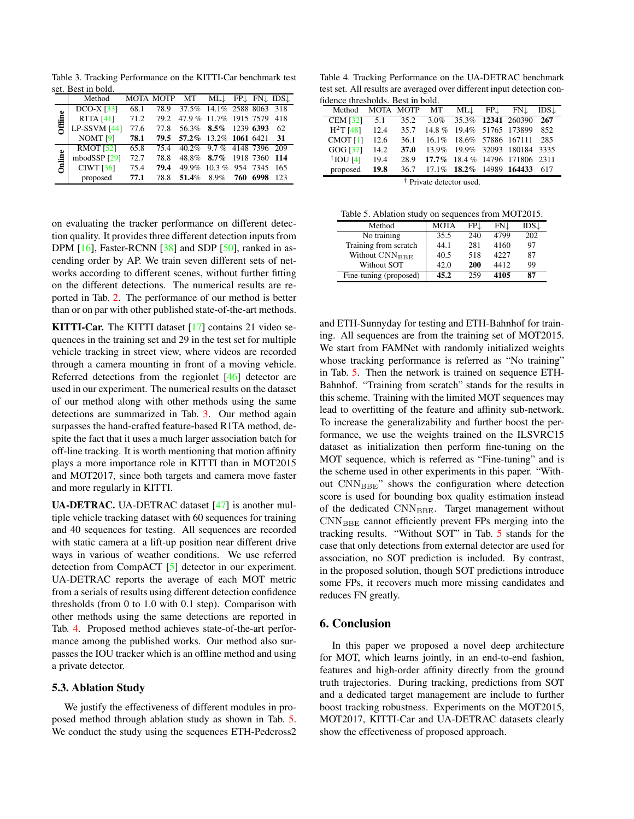<span id="page-7-3"></span><span id="page-7-0"></span>Table 3. Tracking Performance on the KITTI-Car benchmark test set. Best in bold.

|               | Method           |      |      | MOTA MOTP MT ML FP FN IDS       |  |          |      |
|---------------|------------------|------|------|---------------------------------|--|----------|------|
|               | $DCO-X$ [33]     | 68.1 |      | 78.9 37.5% 14.1% 2588 8063 318  |  |          |      |
| <b>Miline</b> | R1TA[41]         | 71.2 |      | 79.2 47.9 % 11.7% 1915 7579 418 |  |          |      |
|               | LP-SSVM [44]     | 77.6 |      | 77.8 56.3% 8.5% 1239 6393       |  |          | - 62 |
|               | NOMT[9]          | 78.1 |      | 79.5 57.2% 13.2% 1061 6421 31   |  |          |      |
|               | <b>RMOT [52]</b> | 65.8 |      | 75.4 40.2% 9.7% 4148 7396 209   |  |          |      |
| Online        | mbodSSP [29]     | 72.7 | 78.8 | 48.8% 8.7% 1918 7360 114        |  |          |      |
|               | CIWT $[36]$      | 75.4 | 79.4 | 49.9% 10.3 % 954 7345 165       |  |          |      |
|               | proposed         | 77.1 | 78.8 | 51.4% 8.9%                      |  | 760 6998 | 123  |

on evaluating the tracker performance on different detection quality. It provides three different detection inputs from DPM [\[16\]](#page-8-37), Faster-RCNN [\[38\]](#page-8-38) and SDP [\[50\]](#page-9-13), ranked in ascending order by AP. We train seven different sets of networks according to different scenes, without further fitting on the different detections. The numerical results are reported in Tab. [2.](#page-6-1) The performance of our method is better than or on par with other published state-of-the-art methods.

KITTI-Car. The KITTI dataset [\[17\]](#page-8-29) contains 21 video sequences in the training set and 29 in the test set for multiple vehicle tracking in street view, where videos are recorded through a camera mounting in front of a moving vehicle. Referred detections from the regionlet [\[46\]](#page-9-14) detector are used in our experiment. The numerical results on the dataset of our method along with other methods using the same detections are summarized in Tab. [3.](#page-7-0) Our method again surpasses the hand-crafted feature-based R1TA method, despite the fact that it uses a much larger association batch for off-line tracking. It is worth mentioning that motion affinity plays a more importance role in KITTI than in MOT2015 and MOT2017, since both targets and camera move faster and more regularly in KITTI.

UA-DETRAC. UA-DETRAC dataset [\[47\]](#page-9-10) is another multiple vehicle tracking dataset with 60 sequences for training and 40 sequences for testing. All sequences are recorded with static camera at a lift-up position near different drive ways in various of weather conditions. We use referred detection from CompACT [\[5\]](#page-8-39) detector in our experiment. UA-DETRAC reports the average of each MOT metric from a serials of results using different detection confidence thresholds (from 0 to 1.0 with 0.1 step). Comparison with other methods using the same detections are reported in Tab. [4.](#page-7-1) Proposed method achieves state-of-the-art performance among the published works. Our method also surpasses the IOU tracker which is an offline method and using a private detector.

#### 5.3. Ablation Study

We justify the effectiveness of different modules in proposed method through ablation study as shown in Tab. [5.](#page-7-2) We conduct the study using the sequences ETH-Pedcross2

<span id="page-7-1"></span>Table 4. Tracking Performance on the UA-DETRAC benchmark test set. All results are averaged over different input detection confidence thresholds. Best in bold.

| Method                 | MOTA MOTP MT |      |      | ML. | FPJ FNJ IDSJ                      |  |
|------------------------|--------------|------|------|-----|-----------------------------------|--|
| CEM [32] 5.1 35.2      |              |      | 3.0% |     | 35.3% 12341 260390 267            |  |
| $H^2T$ [48]            | 12.4         | 35.7 |      |     | 14.8 % 19.4% 51765 173899 852     |  |
| CMOT <sub>[1]</sub>    | 12.6         | 36.1 |      |     | 16.1\% 18.6\% 57886 167111 285    |  |
| <b>GOG [37]</b>        | 14.2         | 37.0 |      |     | 13.9% 19.9% 32093 180184 3335     |  |
| <sup>†</sup> IOU $[4]$ | 19.4         | 28.9 |      |     | 17.7% 18.4 % 14796 171806 2311    |  |
| proposed               | 19.8         |      |      |     | 36.7 17.1% 18.2% 14989 164433 617 |  |

† Private detector used.

<span id="page-7-2"></span>Table 5. Ablation study on sequences from MOT2015.

| Method                     | MOTA | FP.L | FN.L | $IDS+$ |
|----------------------------|------|------|------|--------|
| No training                | 35.5 | 240  | 4799 | 202    |
| Training from scratch      | 44.1 | 281  | 4160 | 97     |
| Without CNN <sub>BBE</sub> | 40.5 | 518  | 4227 | 87     |
| Without SOT                | 42.0 | 200  | 4412 | 99     |
| Fine-tuning (proposed)     | 45.2 | 259  | 4105 | 87     |

and ETH-Sunnyday for testing and ETH-Bahnhof for training. All sequences are from the training set of MOT2015. We start from FAMNet with randomly initialized weights whose tracking performance is referred as "No training" in Tab. [5.](#page-7-2) Then the network is trained on sequence ETH-Bahnhof. "Training from scratch" stands for the results in this scheme. Training with the limited MOT sequences may lead to overfitting of the feature and affinity sub-network. To increase the generalizability and further boost the performance, we use the weights trained on the ILSVRC15 dataset as initialization then perform fine-tuning on the MOT sequence, which is referred as "Fine-tuning" and is the scheme used in other experiments in this paper. "Without  $CNN<sub>BBE</sub>$ " shows the configuration where detection score is used for bounding box quality estimation instead of the dedicated CNNBBE. Target management without  $CNN<sub>BBE</sub>$  cannot efficiently prevent FPs merging into the tracking results. "Without SOT" in Tab. [5](#page-7-2) stands for the case that only detections from external detector are used for association, no SOT prediction is included. By contrast, in the proposed solution, though SOT predictions introduce some FPs, it recovers much more missing candidates and reduces FN greatly.

## 6. Conclusion

In this paper we proposed a novel deep architecture for MOT, which learns jointly, in an end-to-end fashion, features and high-order affinity directly from the ground truth trajectories. During tracking, predictions from SOT and a dedicated target management are include to further boost tracking robustness. Experiments on the MOT2015, MOT2017, KITTI-Car and UA-DETRAC datasets clearly show the effectiveness of proposed approach.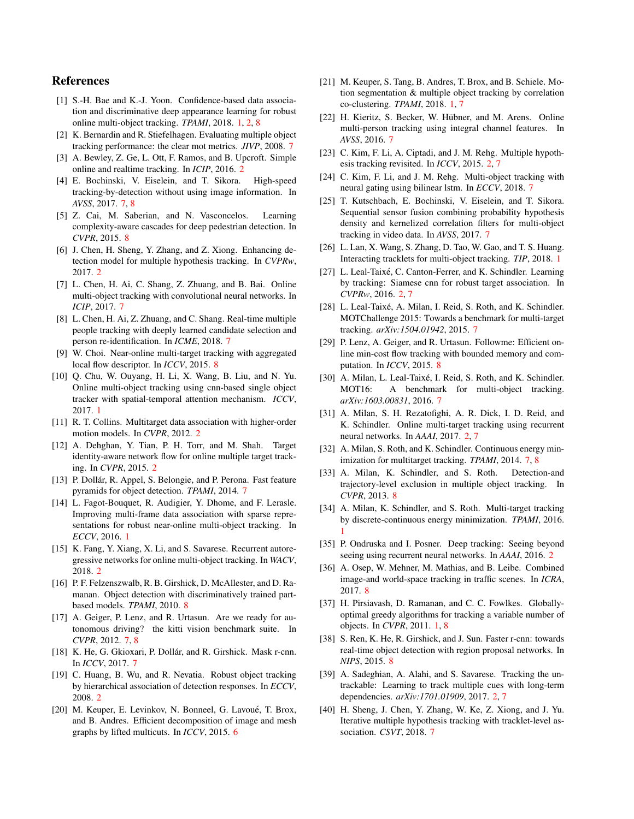# References

- <span id="page-8-0"></span>[1] S.-H. Bae and K.-J. Yoon. Confidence-based data association and discriminative deep appearance learning for robust online multi-object tracking. *TPAMI*, 2018. [1,](#page-0-0) [2,](#page-1-1) [8](#page-7-3)
- <span id="page-8-31"></span>[2] K. Bernardin and R. Stiefelhagen. Evaluating multiple object tracking performance: the clear mot metrics. *JIVP*, 2008. [7](#page-6-2)
- <span id="page-8-7"></span>[3] A. Bewley, Z. Ge, L. Ott, F. Ramos, and B. Upcroft. Simple online and realtime tracking. In *ICIP*, 2016. [2](#page-1-1)
- <span id="page-8-22"></span>[4] E. Bochinski, V. Eiselein, and T. Sikora. High-speed tracking-by-detection without using image information. In *AVSS*, 2017. [7,](#page-6-2) [8](#page-7-3)
- <span id="page-8-39"></span>[5] Z. Cai, M. Saberian, and N. Vasconcelos. Learning complexity-aware cascades for deep pedestrian detection. In *CVPR*, 2015. [8](#page-7-3)
- <span id="page-8-11"></span>[6] J. Chen, H. Sheng, Y. Zhang, and Z. Xiong. Enhancing detection model for multiple hypothesis tracking. In *CVPRw*, 2017. [2](#page-1-1)
- <span id="page-8-21"></span>[7] L. Chen, H. Ai, C. Shang, Z. Zhuang, and B. Bai. Online multi-object tracking with convolutional neural networks. In *ICIP*, 2017. [7](#page-6-2)
- <span id="page-8-26"></span>[8] L. Chen, H. Ai, Z. Zhuang, and C. Shang. Real-time multiple people tracking with deeply learned candidate selection and person re-identification. In *ICME*, 2018. [7](#page-6-2)
- <span id="page-8-34"></span>[9] W. Choi. Near-online multi-target tracking with aggregated local flow descriptor. In *ICCV*, 2015. [8](#page-7-3)
- <span id="page-8-5"></span>[10] Q. Chu, W. Ouyang, H. Li, X. Wang, B. Liu, and N. Yu. Online multi-object tracking using cnn-based single object tracker with spatial-temporal attention mechanism. *ICCV*, 2017. [1](#page-0-0)
- <span id="page-8-13"></span>[11] R. T. Collins. Multitarget data association with higher-order motion models. In *CVPR*, 2012. [2](#page-1-1)
- <span id="page-8-10"></span>[12] A. Dehghan, Y. Tian, P. H. Torr, and M. Shah. Target identity-aware network flow for online multiple target tracking. In *CVPR*, 2015. [2](#page-1-1)
- <span id="page-8-32"></span>[13] P. Dollár, R. Appel, S. Belongie, and P. Perona. Fast feature pyramids for object detection. *TPAMI*, 2014. [7](#page-6-2)
- <span id="page-8-1"></span>[14] L. Fagot-Bouquet, R. Audigier, Y. Dhome, and F. Lerasle. Improving multi-frame data association with sparse representations for robust near-online multi-object tracking. In *ECCV*, 2016. [1](#page-0-0)
- <span id="page-8-8"></span>[15] K. Fang, Y. Xiang, X. Li, and S. Savarese. Recurrent autoregressive networks for online multi-object tracking. In *WACV*, 2018. [2](#page-1-1)
- <span id="page-8-37"></span>[16] P. F. Felzenszwalb, R. B. Girshick, D. McAllester, and D. Ramanan. Object detection with discriminatively trained partbased models. *TPAMI*, 2010. [8](#page-7-3)
- <span id="page-8-29"></span>[17] A. Geiger, P. Lenz, and R. Urtasun. Are we ready for autonomous driving? the kitti vision benchmark suite. In *CVPR*, 2012. [7,](#page-6-2) [8](#page-7-3)
- <span id="page-8-30"></span>[18] K. He, G. Gkioxari, P. Dollár, and R. Girshick. Mask r-cnn. In *ICCV*, 2017. [7](#page-6-2)
- <span id="page-8-9"></span>[19] C. Huang, B. Wu, and R. Nevatia. Robust object tracking by hierarchical association of detection responses. In *ECCV*, 2008. [2](#page-1-1)
- <span id="page-8-18"></span>[20] M. Keuper, E. Levinkov, N. Bonneel, G. Lavoué, T. Brox, and B. Andres. Efficient decomposition of image and mesh graphs by lifted multicuts. In *ICCV*, 2015. [6](#page-5-3)
- <span id="page-8-2"></span>[21] M. Keuper, S. Tang, B. Andres, T. Brox, and B. Schiele. Motion segmentation & multiple object tracking by correlation co-clustering. *TPAMI*, 2018. [1,](#page-0-0) [7](#page-6-2)
- <span id="page-8-20"></span>[22] H. Kieritz, S. Becker, W. Hübner, and M. Arens. Online multi-person tracking using integral channel features. In *AVSS*, 2016. [7](#page-6-2)
- <span id="page-8-12"></span>[23] C. Kim, F. Li, A. Ciptadi, and J. M. Rehg. Multiple hypothesis tracking revisited. In *ICCV*, 2015. [2,](#page-1-1) [7](#page-6-2)
- <span id="page-8-23"></span>[24] C. Kim, F. Li, and J. M. Rehg. Multi-object tracking with neural gating using bilinear lstm. In *ECCV*, 2018. [7](#page-6-2)
- <span id="page-8-25"></span>[25] T. Kutschbach, E. Bochinski, V. Eiselein, and T. Sikora. Sequential sensor fusion combining probability hypothesis density and kernelized correlation filters for multi-object tracking in video data. In *AVSS*, 2017. [7](#page-6-2)
- <span id="page-8-6"></span>[26] L. Lan, X. Wang, S. Zhang, D. Tao, W. Gao, and T. S. Huang. Interacting tracklets for multi-object tracking. *TIP*, 2018. [1](#page-0-0)
- <span id="page-8-14"></span>[27] L. Leal-Taixé, C. Canton-Ferrer, and K. Schindler. Learning by tracking: Siamese cnn for robust target association. In *CVPRw*, 2016. [2,](#page-1-1) [7](#page-6-2)
- <span id="page-8-27"></span>[28] L. Leal-Taixé, A. Milan, I. Reid, S. Roth, and K. Schindler. MOTChallenge 2015: Towards a benchmark for multi-target tracking. *arXiv:1504.01942*, 2015. [7](#page-6-2)
- <span id="page-8-35"></span>[29] P. Lenz, A. Geiger, and R. Urtasun. Followme: Efficient online min-cost flow tracking with bounded memory and computation. In *ICCV*, 2015. [8](#page-7-3)
- <span id="page-8-28"></span>[30] A. Milan, L. Leal-Taixé, I. Reid, S. Roth, and K. Schindler. MOT16: A benchmark for multi-object tracking. *arXiv:1603.00831*, 2016. [7](#page-6-2)
- <span id="page-8-17"></span>[31] A. Milan, S. H. Rezatofighi, A. R. Dick, I. D. Reid, and K. Schindler. Online multi-target tracking using recurrent neural networks. In *AAAI*, 2017. [2,](#page-1-1) [7](#page-6-2)
- <span id="page-8-19"></span>[32] A. Milan, S. Roth, and K. Schindler. Continuous energy minimization for multitarget tracking. *TPAMI*, 2014. [7,](#page-6-2) [8](#page-7-3)
- <span id="page-8-33"></span>[33] A. Milan, K. Schindler, and S. Roth. Detection-and trajectory-level exclusion in multiple object tracking. In *CVPR*, 2013. [8](#page-7-3)
- <span id="page-8-3"></span>[34] A. Milan, K. Schindler, and S. Roth. Multi-target tracking by discrete-continuous energy minimization. *TPAMI*, 2016. [1](#page-0-0)
- <span id="page-8-16"></span>[35] P. Ondruska and I. Posner. Deep tracking: Seeing beyond seeing using recurrent neural networks. In *AAAI*, 2016. [2](#page-1-1)
- <span id="page-8-36"></span>[36] A. Osep, W. Mehner, M. Mathias, and B. Leibe. Combined image-and world-space tracking in traffic scenes. In *ICRA*, 2017. [8](#page-7-3)
- <span id="page-8-4"></span>[37] H. Pirsiavash, D. Ramanan, and C. C. Fowlkes. Globallyoptimal greedy algorithms for tracking a variable number of objects. In *CVPR*, 2011. [1,](#page-0-0) [8](#page-7-3)
- <span id="page-8-38"></span>[38] S. Ren, K. He, R. Girshick, and J. Sun. Faster r-cnn: towards real-time object detection with region proposal networks. In *NIPS*, 2015. [8](#page-7-3)
- <span id="page-8-15"></span>[39] A. Sadeghian, A. Alahi, and S. Savarese. Tracking the untrackable: Learning to track multiple cues with long-term dependencies. *arXiv:1701.01909*, 2017. [2,](#page-1-1) [7](#page-6-2)
- <span id="page-8-24"></span>[40] H. Sheng, J. Chen, Y. Zhang, W. Ke, Z. Xiong, and J. Yu. Iterative multiple hypothesis tracking with tracklet-level association. *CSVT*, 2018. [7](#page-6-2)